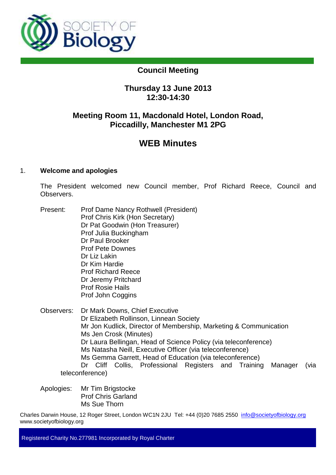

# **Council Meeting**

# **Thursday 13 June 2013 12:30-14:30**

# **Meeting Room 11, Macdonald Hotel, London Road, Piccadilly, Manchester M1 2PG**

# **WEB Minutes**

# 1. **Welcome and apologies**

The President welcomed new Council member, Prof Richard Reece, Council and **Observers** 

- Present: Prof Dame Nancy Rothwell (President) Prof Chris Kirk (Hon Secretary) Dr Pat Goodwin (Hon Treasurer) Prof Julia Buckingham Dr Paul Brooker Prof Pete Downes Dr Liz Lakin Dr Kim Hardie Prof Richard Reece Dr Jeremy Pritchard Prof Rosie Hails Prof John Coggins
- Observers: Dr Mark Downs, Chief Executive Dr Elizabeth Rollinson, Linnean Society Mr Jon Kudlick, Director of Membership, Marketing & Communication Ms Jen Crosk (Minutes) Dr Laura Bellingan, Head of Science Policy (via teleconference) Ms Natasha Neill, Executive Officer (via teleconference) Ms Gemma Garrett, Head of Education (via teleconference) Dr Cliff Collis, Professional Registers and Training Manager (via teleconference)

Apologies: Mr Tim Brigstocke Prof Chris Garland Ms Sue Thorn

Charles Darwin House, 12 Roger Street, London WC1N 2JU Tel: +44 (0)20 7685 2550 info@societyofbiology.org www.societyofbiology.org

Registered Charity No.277981 Incorporated by Royal Charter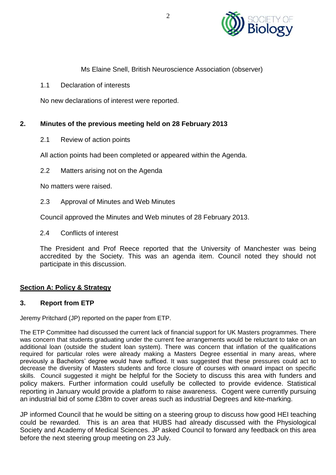

## Ms Elaine Snell, British Neuroscience Association (observer)

1.1 Declaration of interests

No new declarations of interest were reported.

#### **2. Minutes of the previous meeting held on 28 February 2013**

2.1 Review of action points

All action points had been completed or appeared within the Agenda.

2.2 Matters arising not on the Agenda

No matters were raised.

2.3 Approval of Minutes and Web Minutes

Council approved the Minutes and Web minutes of 28 February 2013.

2.4 Conflicts of interest

The President and Prof Reece reported that the University of Manchester was being accredited by the Society. This was an agenda item. Council noted they should not participate in this discussion.

#### **Section A: Policy & Strategy**

#### **3. Report from ETP**

Jeremy Pritchard (JP) reported on the paper from ETP.

The ETP Committee had discussed the current lack of financial support for UK Masters programmes. There was concern that students graduating under the current fee arrangements would be reluctant to take on an additional loan (outside the student loan system). There was concern that inflation of the qualifications required for particular roles were already making a Masters Degree essential in many areas, where previously a Bachelors' degree would have sufficed. It was suggested that these pressures could act to decrease the diversity of Masters students and force closure of courses with onward impact on specific skills. Council suggested it might be helpful for the Society to discuss this area with funders and policy makers. Further information could usefully be collected to provide evidence. Statistical reporting in January would provide a platform to raise awareness. Cogent were currently pursuing an industrial bid of some £38m to cover areas such as industrial Degrees and kite-marking.

JP informed Council that he would be sitting on a steering group to discuss how good HEI teaching could be rewarded. This is an area that HUBS had already discussed with the Physiological Society and Academy of Medical Sciences. JP asked Council to forward any feedback on this area before the next steering group meeting on 23 July.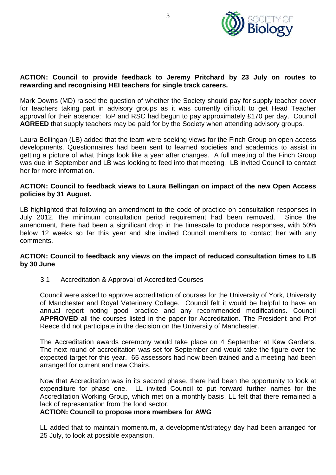

### **ACTION: Council to provide feedback to Jeremy Pritchard by 23 July on routes to rewarding and recognising HEI teachers for single track careers.**

Mark Downs (MD) raised the question of whether the Society should pay for supply teacher cover for teachers taking part in advisory groups as it was currently difficult to get Head Teacher approval for their absence: IoP and RSC had begun to pay approximately £170 per day. Council **AGREED** that supply teachers may be paid for by the Society when attending advisory groups.

Laura Bellingan (LB) added that the team were seeking views for the Finch Group on open access developments. Questionnaires had been sent to learned societies and academics to assist in getting a picture of what things look like a year after changes. A full meeting of the Finch Group was due in September and LB was looking to feed into that meeting. LB invited Council to contact her for more information.

#### **ACTION: Council to feedback views to Laura Bellingan on impact of the new Open Access policies by 31 August.**

LB highlighted that following an amendment to the code of practice on consultation responses in July 2012, the minimum consultation period requirement had been removed. Since the amendment, there had been a significant drop in the timescale to produce responses, with 50% below 12 weeks so far this year and she invited Council members to contact her with any comments.

#### **ACTION: Council to feedback any views on the impact of reduced consultation times to LB by 30 June**

3.1 Accreditation & Approval of Accredited Courses

Council were asked to approve accreditation of courses for the University of York, University of Manchester and Royal Veterinary College. Council felt it would be helpful to have an annual report noting good practice and any recommended modifications. Council **APPROVED** all the courses listed in the paper for Accreditation. The President and Prof Reece did not participate in the decision on the University of Manchester.

The Accreditation awards ceremony would take place on 4 September at Kew Gardens. The next round of accreditation was set for September and would take the figure over the expected target for this year. 65 assessors had now been trained and a meeting had been arranged for current and new Chairs.

Now that Accreditation was in its second phase, there had been the opportunity to look at expenditure for phase one. LL invited Council to put forward further names for the Accreditation Working Group, which met on a monthly basis. LL felt that there remained a lack of representation from the food sector.

#### **ACTION: Council to propose more members for AWG**

LL added that to maintain momentum, a development/strategy day had been arranged for 25 July, to look at possible expansion.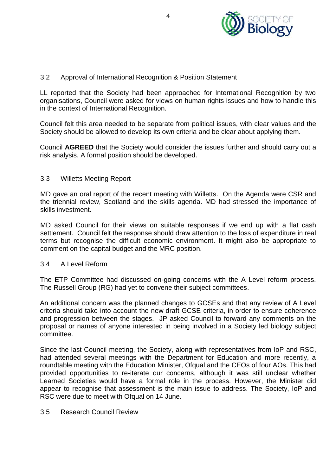

## 3.2 Approval of International Recognition & Position Statement

LL reported that the Society had been approached for International Recognition by two organisations, Council were asked for views on human rights issues and how to handle this in the context of International Recognition.

Council felt this area needed to be separate from political issues, with clear values and the Society should be allowed to develop its own criteria and be clear about applying them.

Council **AGREED** that the Society would consider the issues further and should carry out a risk analysis. A formal position should be developed.

#### 3.3 Willetts Meeting Report

MD gave an oral report of the recent meeting with Willetts. On the Agenda were CSR and the triennial review, Scotland and the skills agenda. MD had stressed the importance of skills investment.

MD asked Council for their views on suitable responses if we end up with a flat cash settlement. Council felt the response should draw attention to the loss of expenditure in real terms but recognise the difficult economic environment. It might also be appropriate to comment on the capital budget and the MRC position.

#### 3.4 A Level Reform

The ETP Committee had discussed on-going concerns with the A Level reform process. The Russell Group (RG) had yet to convene their subject committees.

An additional concern was the planned changes to GCSEs and that any review of A Level criteria should take into account the new draft GCSE criteria, in order to ensure coherence and progression between the stages. JP asked Council to forward any comments on the proposal or names of anyone interested in being involved in a Society led biology subject committee.

Since the last Council meeting, the Society, along with representatives from IoP and RSC, had attended several meetings with the Department for Education and more recently, a roundtable meeting with the Education Minister, Ofqual and the CEOs of four AOs. This had provided opportunities to re-iterate our concerns, although it was still unclear whether Learned Societies would have a formal role in the process. However, the Minister did appear to recognise that assessment is the main issue to address. The Society, IoP and RSC were due to meet with Ofqual on 14 June.

#### 3.5 Research Council Review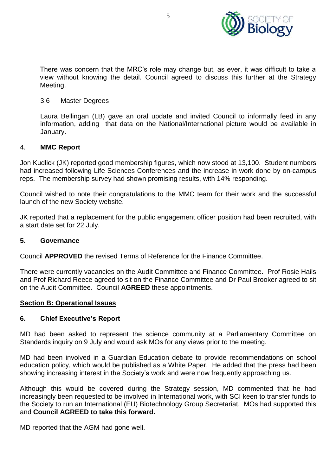

There was concern that the MRC's role may change but, as ever, it was difficult to take a view without knowing the detail. Council agreed to discuss this further at the Strategy Meeting.

#### 3.6 Master Degrees

Laura Bellingan (LB) gave an oral update and invited Council to informally feed in any information, adding that data on the National/International picture would be available in January.

#### 4. **MMC Report**

Jon Kudlick (JK) reported good membership figures, which now stood at 13,100. Student numbers had increased following Life Sciences Conferences and the increase in work done by on-campus reps. The membership survey had shown promising results, with 14% responding.

Council wished to note their congratulations to the MMC team for their work and the successful launch of the new Society website.

JK reported that a replacement for the public engagement officer position had been recruited, with a start date set for 22 July.

#### **5. Governance**

Council **APPROVED** the revised Terms of Reference for the Finance Committee.

There were currently vacancies on the Audit Committee and Finance Committee. Prof Rosie Hails and Prof Richard Reece agreed to sit on the Finance Committee and Dr Paul Brooker agreed to sit on the Audit Committee. Council **AGREED** these appointments.

#### **Section B: Operational Issues**

#### **6. Chief Executive's Report**

MD had been asked to represent the science community at a Parliamentary Committee on Standards inquiry on 9 July and would ask MOs for any views prior to the meeting.

MD had been involved in a Guardian Education debate to provide recommendations on school education policy, which would be published as a White Paper. He added that the press had been showing increasing interest in the Society's work and were now frequently approaching us.

Although this would be covered during the Strategy session, MD commented that he had increasingly been requested to be involved in International work, with SCI keen to transfer funds to the Society to run an International (EU) Biotechnology Group Secretariat. MOs had supported this and **Council AGREED to take this forward.**

MD reported that the AGM had gone well.